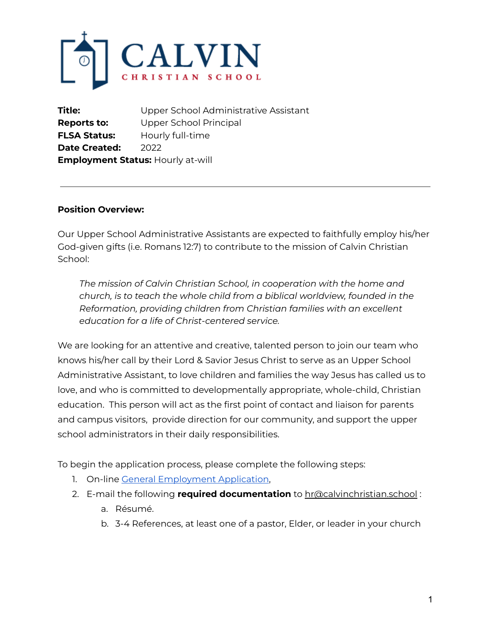

**Title:** Upper School Administrative Assistant **Reports to:** Upper School Principal **FLSA Status:** Hourly full-time **Date Created:** 2022 **Employment Status:** Hourly at-will

#### **Position Overview:**

Our Upper School Administrative Assistants are expected to faithfully employ his/her God-given gifts (i.e. Romans 12:7) to contribute to the mission of Calvin Christian School:

*The mission of Calvin Christian School, in cooperation with the home and church, is to teach the whole child from a biblical worldview, founded in the Reformation, providing children from Christian families with an excellent education for a life of Christ-centered service.*

We are looking for an attentive and creative, talented person to join our team who knows his/her call by their Lord & Savior Jesus Christ to serve as an Upper School Administrative Assistant, to love children and families the way Jesus has called us to love, and who is committed to developmentally appropriate, whole-child, Christian education. This person will act as the first point of contact and liaison for parents and campus visitors, provide direction for our community, and support the upper school administrators in their daily responsibilities.

To begin the application process, please complete the following steps:

- 1. On-line General [Employment](https://docs.google.com/forms/d/e/1FAIpQLSes3ijSGbG4Pu7O1cACBkXjEuAZqFmHssBX3UMr9h5EuNVreA/viewform?usp=sf_link) Application,
- 2. E-mail the following **required documentation** to hr@calvinchristian.school :
	- a. Résumé.
	- b. 3-4 References, at least one of a pastor, Elder, or leader in your church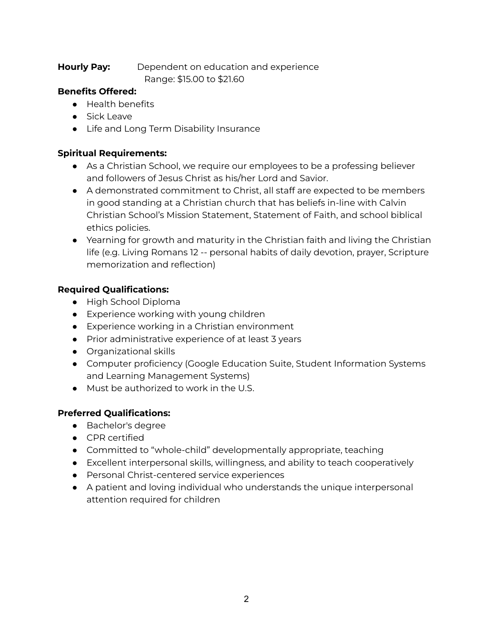#### **Hourly Pay:** Dependent on education and experience Range: \$15.00 to \$21.60

## **Benefits Offered:**

- Health benefits
- Sick Leave
- Life and Long Term Disability Insurance

# **Spiritual Requirements:**

- As a Christian School, we require our employees to be a professing believer and followers of Jesus Christ as his/her Lord and Savior.
- A demonstrated commitment to Christ, all staff are expected to be members in good standing at a Christian church that has beliefs in-line with Calvin Christian School's Mission Statement, Statement of Faith, and school biblical ethics policies.
- Yearning for growth and maturity in the Christian faith and living the Christian life (e.g. Living Romans 12 -- personal habits of daily devotion, prayer, Scripture memorization and reflection)

### **Required Qualifications:**

- High School Diploma
- Experience working with young children
- Experience working in a Christian environment
- Prior administrative experience of at least 3 years
- Organizational skills
- Computer proficiency (Google Education Suite, Student Information Systems and Learning Management Systems)
- Must be authorized to work in the U.S.

### **Preferred Qualifications:**

- Bachelor's degree
- CPR certified
- Committed to "whole-child" developmentally appropriate, teaching
- Excellent interpersonal skills, willingness, and ability to teach cooperatively
- Personal Christ-centered service experiences
- A patient and loving individual who understands the unique interpersonal attention required for children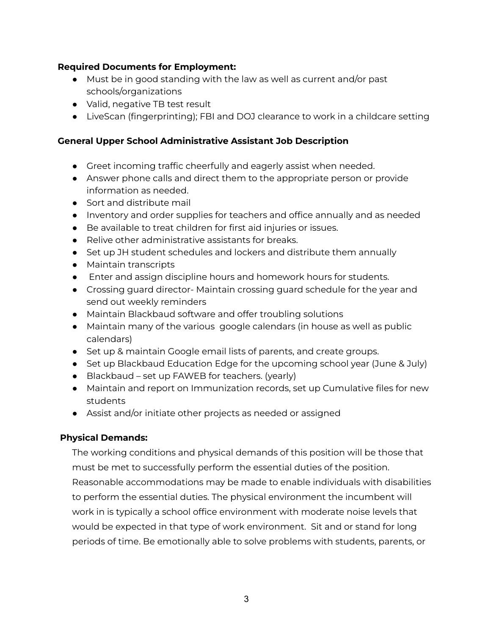#### **Required Documents for Employment:**

- Must be in good standing with the law as well as current and/or past schools/organizations
- Valid, negative TB test result
- LiveScan (fingerprinting); FBI and DOJ clearance to work in a childcare setting

# **General Upper School Administrative Assistant Job Description**

- Greet incoming traffic cheerfully and eagerly assist when needed.
- Answer phone calls and direct them to the appropriate person or provide information as needed.
- Sort and distribute mail
- Inventory and order supplies for teachers and office annually and as needed
- Be available to treat children for first aid injuries or issues.
- Relive other administrative assistants for breaks
- Set up JH student schedules and lockers and distribute them annually
- Maintain transcripts
- Enter and assign discipline hours and homework hours for students.
- Crossing guard director- Maintain crossing guard schedule for the year and send out weekly reminders
- Maintain Blackbaud software and offer troubling solutions
- Maintain many of the various google calendars (in house as well as public calendars)
- Set up & maintain Google email lists of parents, and create groups.
- Set up Blackbaud Education Edge for the upcoming school year (June & July)
- Blackbaud set up FAWEB for teachers. (yearly)
- Maintain and report on Immunization records, set up Cumulative files for new students
- Assist and/or initiate other projects as needed or assigned

### **Physical Demands:**

The working conditions and physical demands of this position will be those that must be met to successfully perform the essential duties of the position. Reasonable accommodations may be made to enable individuals with disabilities to perform the essential duties. The physical environment the incumbent will work in is typically a school office environment with moderate noise levels that would be expected in that type of work environment. Sit and or stand for long periods of time. Be emotionally able to solve problems with students, parents, or